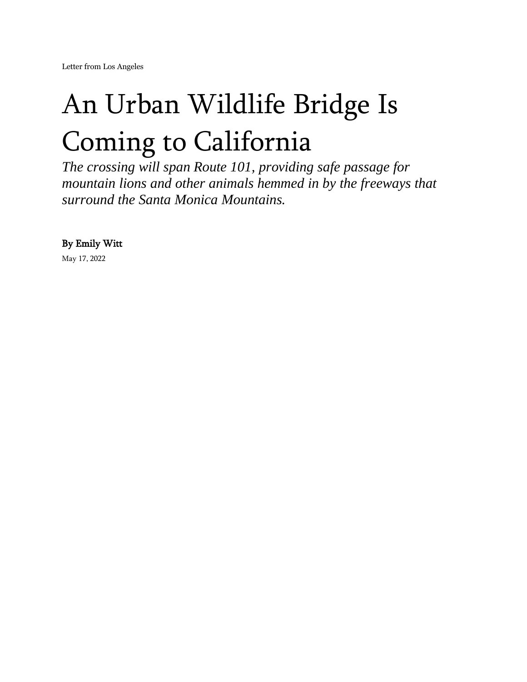[Letter from Los Angeles](https://www.newyorker.com/news/letter-from-los-angeles)

## An Urban Wildlife Bridge Is Coming to California

*The crossing will span Route 101, providing safe passage for mountain lions and other animals hemmed in by the freeways that surround the Santa Monica Mountains.*

By [Emily Witt](https://www.newyorker.com/contributors/emily-witt) 

May 17, 2022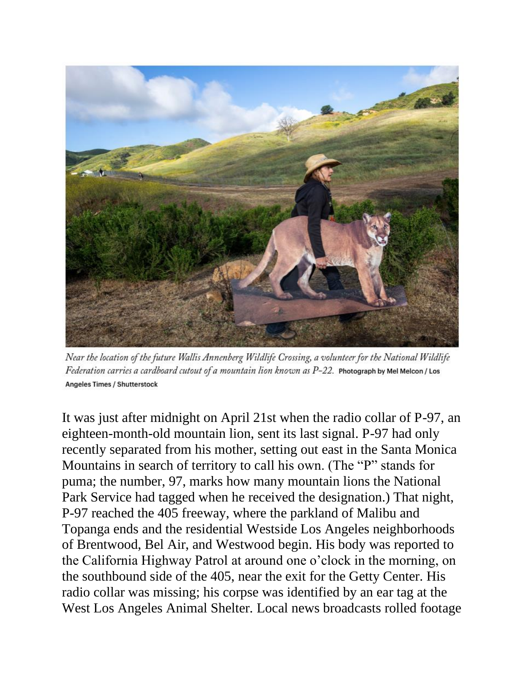

Near the location of the future Wallis Annenberg Wildlife Crossing, a volunteer for the National Wildlife Federation carries a cardboard cutout of a mountain lion known as  $P-22$ . Photograph by Mel Melcon / Los Angeles Times / Shutterstock

It was just after midnight on April 21st when the radio collar of P-97, an eighteen-month-old mountain lion, sent its last signal. P-97 had only recently separated from his mother, setting out east in the Santa Monica Mountains in search of territory to call his own. (The "P" stands for puma; the number, 97, marks how many mountain lions the National Park Service had tagged when he received the designation.) That night, P-97 reached the 405 freeway, where the parkland of Malibu and Topanga ends and the residential Westside Los Angeles neighborhoods of Brentwood, Bel Air, and Westwood begin. His body was reported to the California Highway Patrol at around one o'clock in the morning, on the southbound side of the 405, near the exit for the Getty Center. His radio collar was missing; his corpse was identified by an ear tag at the West Los Angeles Animal Shelter. Local news broadcasts rolled footage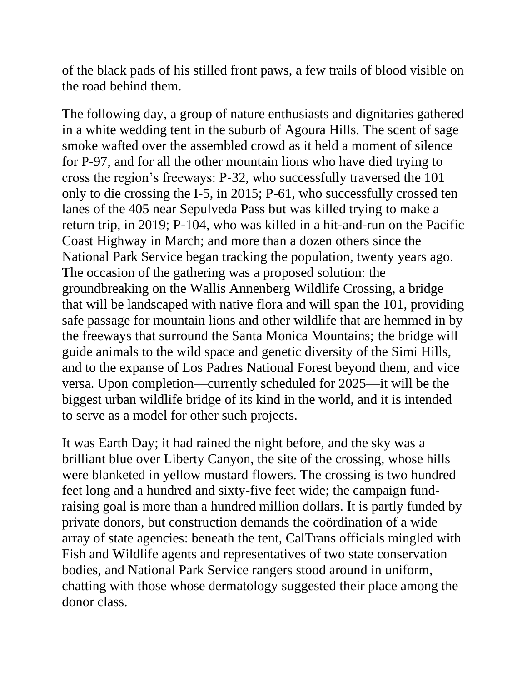of the black pads of his stilled front paws, a few trails of blood visible on the road behind them.

The following day, a group of nature enthusiasts and dignitaries gathered in a white wedding tent in the suburb of Agoura Hills. The scent of sage smoke wafted over the assembled crowd as it held a moment of silence for P-97, and for all the other mountain lions who have died trying to cross the region's freeways: P-32, who successfully traversed the 101 only to die crossing the I-5, in 2015; P-61, who successfully crossed ten lanes of the 405 near Sepulveda Pass but was killed trying to make a return trip, in 2019; P-104, who was killed in a hit-and-run on the Pacific Coast Highway in March; and more than a dozen others since the National Park Service began tracking the population, twenty years ago. The occasion of the gathering was a proposed solution: the groundbreaking on the Wallis Annenberg Wildlife Crossing, a bridge that will be landscaped with native flora and will span the 101, providing safe passage for mountain lions and other wildlife that are hemmed in by the freeways that surround the Santa Monica Mountains; the bridge will guide animals to the wild space and genetic diversity of the Simi Hills, and to the expanse of Los Padres National Forest beyond them, and vice versa. Upon completion—currently scheduled for 2025—it will be the biggest urban wildlife bridge of its kind in the world, and it is intended to serve as a model for other such projects.

It was Earth Day; it had rained the night before, and the sky was a brilliant blue over Liberty Canyon, the site of the crossing, whose hills were blanketed in yellow mustard flowers. The crossing is two hundred feet long and a hundred and sixty-five feet wide; the campaign fundraising goal is more than a hundred million dollars. It is partly funded by private donors, but construction demands the coördination of a wide array of state agencies: beneath the tent, CalTrans officials mingled with Fish and Wildlife agents and representatives of two state conservation bodies, and National Park Service rangers stood around in uniform, chatting with those whose dermatology suggested their place among the donor class.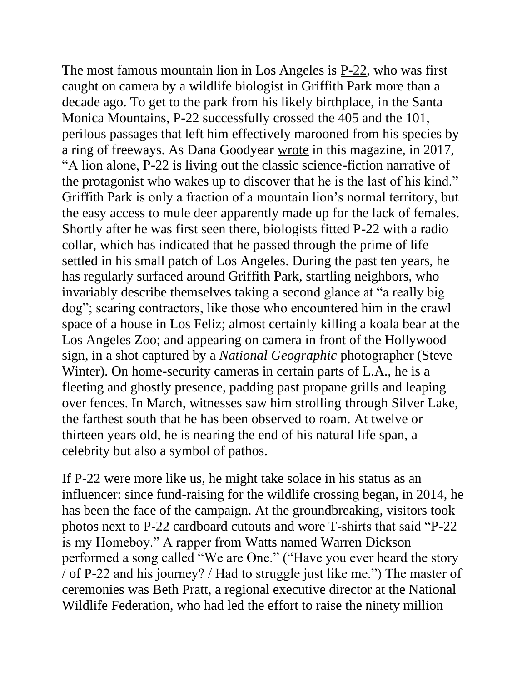The most famous mountain lion in Los Angeles is [P-22,](https://www.newyorker.com/tech/annals-of-technology/ballad-p22-mountain-lion-los-angeles) who was first caught on camera by a wildlife biologist in Griffith Park more than a decade ago. To get to the park from his likely birthplace, in the Santa Monica Mountains, P-22 successfully crossed the 405 and the 101, perilous passages that left him effectively marooned from his species by a ring of freeways. As Dana Goodyear [wrote](https://www.newyorker.com/magazine/2017/02/13/lions-of-los-angeles) in this magazine, in 2017, "A lion alone, P-22 is living out the classic science-fiction narrative of the protagonist who wakes up to discover that he is the last of his kind." Griffith Park is only a fraction of a mountain lion's normal territory, but the easy access to mule deer apparently made up for the lack of females. Shortly after he was first seen there, biologists fitted P-22 with a radio collar, which has indicated that he passed through the prime of life settled in his small patch of Los Angeles. During the past ten years, he has regularly surfaced around Griffith Park, startling neighbors, who invariably describe themselves taking a second glance at "a really big dog"; scaring contractors, like those who encountered him in the crawl space of a house in Los Feliz; almost certainly killing a koala bear at the Los Angeles Zoo; and appearing on camera in front of the Hollywood sign, in a shot captured by a *National Geographic* photographer (Steve Winter). On home-security cameras in certain parts of L.A., he is a fleeting and ghostly presence, padding past propane grills and leaping over fences. In March, witnesses saw him strolling through Silver Lake, the farthest south that he has been observed to roam. At twelve or thirteen years old, he is nearing the end of his natural life span, a celebrity but also a symbol of pathos.

If P-22 were more like us, he might take solace in his status as an influencer: since fund-raising for the wildlife crossing began, in 2014, he has been the face of the campaign. At the groundbreaking, visitors took photos next to P-22 cardboard cutouts and wore T-shirts that said "P-22 is my Homeboy." A rapper from Watts named Warren Dickson performed a song called "We are One." ("Have you ever heard the story / of P-22 and his journey? / Had to struggle just like me.") The master of ceremonies was Beth Pratt, a regional executive director at the National Wildlife Federation, who had led the effort to raise the ninety million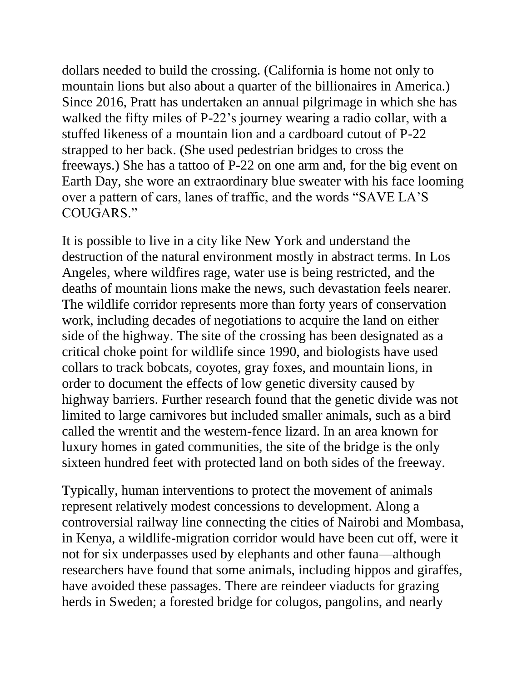dollars needed to build the crossing. (California is home not only to mountain lions but also about a quarter of the billionaires in America.) Since 2016, Pratt has undertaken an annual pilgrimage in which she has walked the fifty miles of P-22's journey wearing a radio collar, with a stuffed likeness of a mountain lion and a cardboard cutout of P-22 strapped to her back. (She used pedestrian bridges to cross the freeways.) She has a tattoo of P-22 on one arm and, for the big event on Earth Day, she wore an extraordinary blue sweater with his face looming over a pattern of cars, lanes of traffic, and the words "SAVE LA'S COUGARS."

It is possible to live in a city like New York and understand the destruction of the natural environment mostly in abstract terms. In Los Angeles, where [wildfires](https://www.newyorker.com/news/annals-of-a-warming-planet/the-west-coast-wildfires-are-apocalypse-again) rage, water use is being restricted, and the deaths of mountain lions make the news, such devastation feels nearer. The wildlife corridor represents more than forty years of conservation work, including decades of negotiations to acquire the land on either side of the highway. The site of the crossing has been designated as a critical choke point for wildlife since 1990, and biologists have used collars to track bobcats, coyotes, gray foxes, and mountain lions, in order to document the effects of low genetic diversity caused by highway barriers. Further research found that the genetic divide was not limited to large carnivores but included smaller animals, such as a bird called the wrentit and the western-fence lizard. In an area known for luxury homes in gated communities, the site of the bridge is the only sixteen hundred feet with protected land on both sides of the freeway.

Typically, human interventions to protect the movement of animals represent relatively modest concessions to development. Along a controversial railway line connecting the cities of Nairobi and Mombasa, in Kenya, a wildlife-migration corridor would have been cut off, were it not for six underpasses used by elephants and other fauna—although researchers have found that some animals, including hippos and giraffes, have avoided these passages. There are reindeer viaducts for grazing herds in Sweden; a forested bridge for colugos, pangolins, and nearly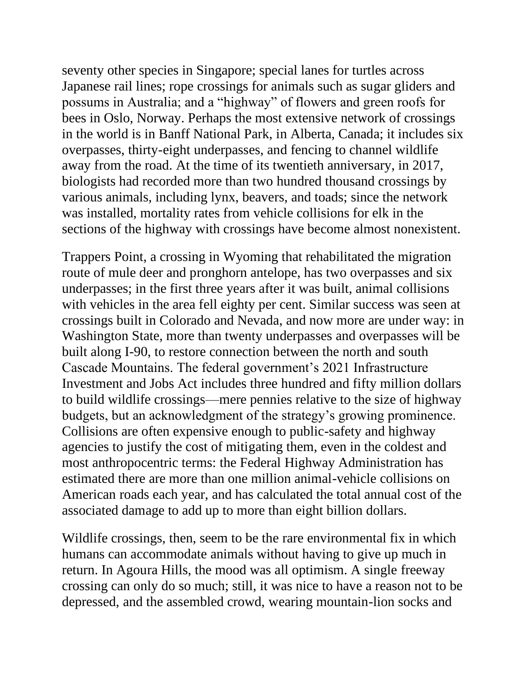seventy other species in Singapore; special lanes for turtles across Japanese rail lines; rope crossings for animals such as sugar gliders and possums in Australia; and a "highway" of flowers and green roofs for bees in Oslo, Norway. Perhaps the most extensive network of crossings in the world is in Banff National Park, in Alberta, Canada; it includes six overpasses, thirty-eight underpasses, and fencing to channel wildlife away from the road. At the time of its twentieth anniversary, in 2017, biologists had recorded more than two hundred thousand crossings by various animals, including lynx, beavers, and toads; since the network was installed, mortality rates from vehicle collisions for elk in the sections of the highway with crossings have become almost nonexistent.

Trappers Point, a crossing in Wyoming that rehabilitated the migration route of mule deer and pronghorn antelope, has two overpasses and six underpasses; in the first three years after it was built, animal collisions with vehicles in the area fell eighty per cent. Similar success was seen at crossings built in Colorado and Nevada, and now more are under way: in Washington State, more than twenty underpasses and overpasses will be built along I-90, to restore connection between the north and south Cascade Mountains. The federal government's 2021 Infrastructure Investment and Jobs Act includes three hundred and fifty million dollars to build wildlife crossings—mere pennies relative to the size of highway budgets, but an acknowledgment of the strategy's growing prominence. Collisions are often expensive enough to public-safety and highway agencies to justify the cost of mitigating them, even in the coldest and most anthropocentric terms: the Federal Highway Administration has estimated there are more than one million animal-vehicle collisions on American roads each year, and has calculated the total annual cost of the associated damage to add up to more than eight billion dollars.

Wildlife crossings, then, seem to be the rare environmental fix in which humans can accommodate animals without having to give up much in return. In Agoura Hills, the mood was all optimism. A single freeway crossing can only do so much; still, it was nice to have a reason not to be depressed, and the assembled crowd, wearing mountain-lion socks and